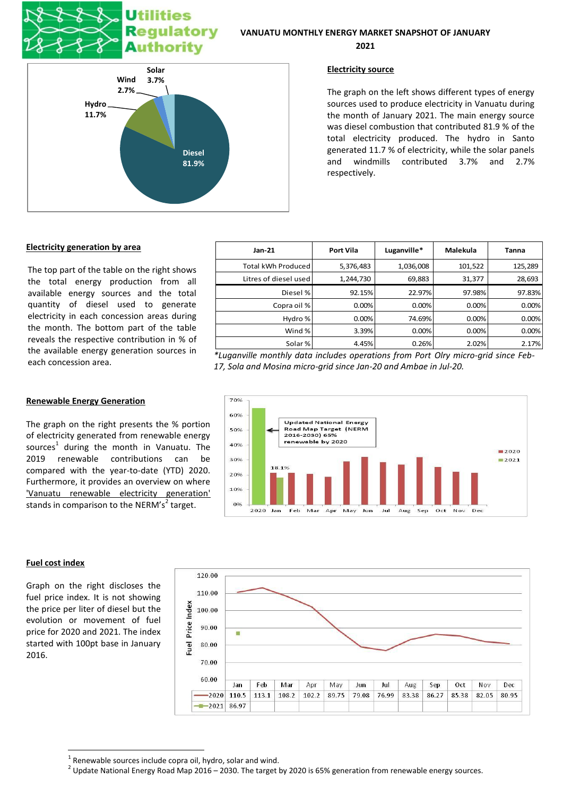# **Utilities** ulatory **Authority**



**2021**



## **Electricity source**

The graph on the left shows different types of energy sources used to produce electricity in Vanuatu during the month of January 2021. The main energy source was diesel combustion that contributed 81.9 % of the total electricity produced. The hydro in Santo generated 11.7 % of electricity, while the solar panels and windmills contributed 3.7% and 2.7% respectively.

# **Electricity generation by area**

**Renewable Energy Generation**

The top part of the table on the right shows the total energy production from all available energy sources and the total quantity of diesel used to generate electricity in each concession areas during the month. The bottom part of the table reveals the respective contribution in % of the available energy generation sources in each concession area.

| $Jan-21$              | <b>Port Vila</b> | Luganville* | Malekula | Tanna   |
|-----------------------|------------------|-------------|----------|---------|
| Total kWh Produced    | 5,376,483        | 1,036,008   | 101,522  | 125,289 |
| Litres of diesel used | 1,244,730        | 69,883      | 31,377   | 28,693  |
| Diesel %              | 92.15%           | 22.97%      | 97.98%   | 97.83%  |
| Copra oil %           | 0.00%            | 0.00%       | 0.00%    | 0.00%   |
| Hydro %               | 0.00%            | 74.69%      | 0.00%    | 0.00%   |
| Wind %                | 3.39%            | 0.00%       | 0.00%    | 0.00%   |
| Solar %               | 4.45%            | 0.26%       | 2.02%    | 2.17%   |

*\*Luganville monthly data includes operations from Port Olry micro-grid since Feb-17, Sola and Mosina micro-grid since Jan-20 and Ambae in Jul-20.*



### **Fuel cost index**

**.** 

Graph on the right discloses the fuel price index. It is not showing the price per liter of diesel but the evolution or movement of fuel price for 2020 and 2021. The index started with 100pt base in January 2016.

stands in comparison to the NERM's<sup>2</sup> target.



 $1$  Renewable sources include copra oil, hydro, solar and wind.

 $^2$  Update National Energy Road Map 2016 – 2030. The target by 2020 is 65% generation from renewable energy sources.